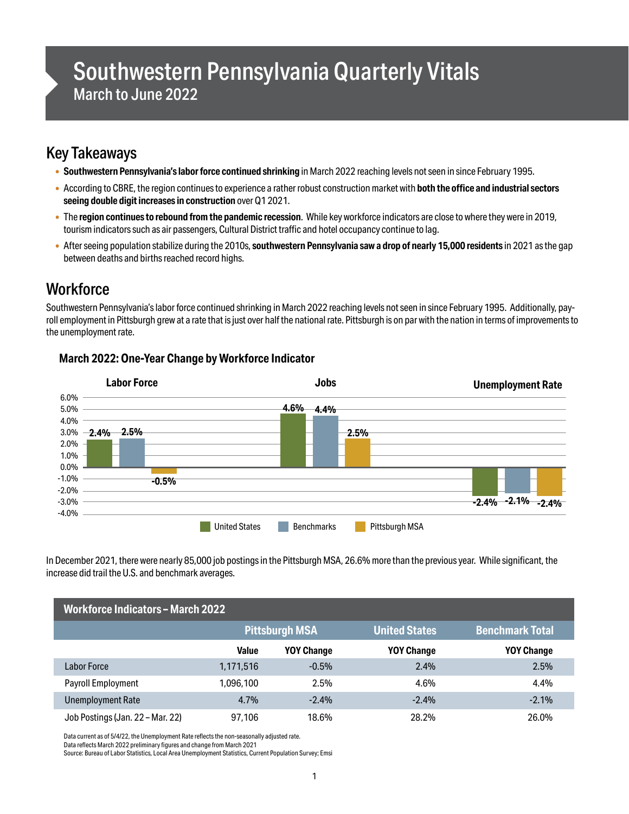# Southwestern Pennsylvania Quarterly Vitals March to June 2022

## Key Takeaways

- **Southwestern Pennsylvania's labor force continued shrinking** in March 2022 reaching levels not seen in since February 1995.
- According to CBRE, the region continues to experience a rather robust construction market with **both the office and industrial sectors seeing double digit increases in construction** over Q1 2021.
- The **region continues to rebound from the pandemic recession**. While key workforce indicators are close to where they were in 2019, tourismindicatorssuch as air passengers, Cultural District traffic and hotel occupancy continue to lag.
- After seeing population stabilize during the 2010s, **southwestern Pennsylvania saw a drop of nearly 15,000 residents** in 2021 as the gap between deaths and births reached record highs.

## **Workforce**

Southwestern Pennsylvania's labor force continued shrinking in March 2022 reaching levels not seen in since February 1995. Additionally, payroll employment in Pittsburgh grew at a rate that is just over half the national rate. Pittsburgh is on par with the nation in terms of improvements to the unemployment rate.



#### **March 2022: One-Year Change by Workforce Indicator**

In December 2021, there were nearly 85,000 job postings in the Pittsburgh MSA, 26.6% more than the previous year. While significant, the increase did trail the U.S. and benchmark averages.

| <b>Workforce Indicators - March 2022</b> |              |                       |                      |                        |
|------------------------------------------|--------------|-----------------------|----------------------|------------------------|
|                                          |              | <b>Pittsburgh MSA</b> | <b>United States</b> | <b>Benchmark Total</b> |
|                                          | <b>Value</b> | <b>YOY Change</b>     | <b>YOY Change</b>    | <b>YOY Change</b>      |
| Labor Force                              | 1,171,516    | $-0.5%$               | 2.4%                 | 2.5%                   |
| Payroll Employment                       | 1.096.100    | 2.5%                  | 4.6%                 | 4.4%                   |
| <b>Unemployment Rate</b>                 | 4.7%         | $-2.4%$               | $-2.4%$              | $-2.1%$                |
| Job Postings (Jan. 22 - Mar. 22)         | 97.106       | 18.6%                 | 28.2%                | 26.0%                  |

Data current as of 5/4/22, the Unemployment Rate reflects the non-seasonally adjusted rate.

Data reflects March 2022 preliminary figures and change from March 2021

Source: Bureau of Labor Statistics, Local Area Unemployment Statistics, Current Population Survey; Emsi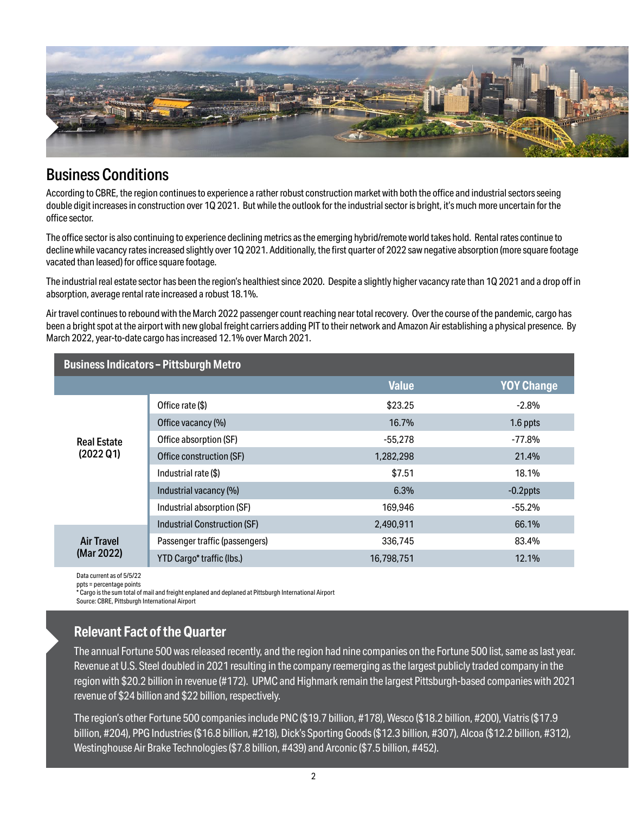

### Business Conditions

According to CBRE, the region continues to experience a rather robust construction market with both the office and industrial sectors seeing double digit increases in construction over 1Q 2021. But while the outlook for the industrial sector is bright, it's much more uncertain for the office sector.

The office sector is also continuing to experience declining metrics as the emerging hybrid/remote world takes hold. Rental rates continue to decline while vacancy rates increased slightly over 1Q 2021. Additionally, the first quarter of 2022 saw negative absorption (more square footage vacated than leased) for office square footage.

The industrial real estate sector has been the region's healthiest since 2020. Despite a slightly higher vacancy rate than 1Q 2021 and a drop off in absorption, average rental rate increased a robust 18.1%.

Air travel continues to rebound with the March 2022 passenger count reaching near total recovery. Over the course of the pandemic, cargo has been a bright spot at the airport with new global freight carriers adding PIT to their network and Amazon Air establishing a physical presence. By March 2022, year-to-date cargo has increased 12.1% over March 2021.

| <b>Business Indicators - Pittsburgh Metro</b> |                                     |              |                   |  |  |
|-----------------------------------------------|-------------------------------------|--------------|-------------------|--|--|
|                                               |                                     | <b>Value</b> | <b>YOY Change</b> |  |  |
| <b>Real Estate</b><br>(2022 Q1)               | Office rate (\$)                    | \$23.25      | $-2.8%$           |  |  |
|                                               | Office vacancy (%)                  | 16.7%        | 1.6 ppts          |  |  |
|                                               | Office absorption (SF)              | $-55.278$    | $-77.8%$          |  |  |
|                                               | Office construction (SF)            | 1,282,298    | 21.4%             |  |  |
|                                               | Industrial rate (\$)                | \$7.51       | 18.1%             |  |  |
|                                               | Industrial vacancy (%)              | 6.3%         | $-0.2$ ppts       |  |  |
|                                               | Industrial absorption (SF)          | 169.946      | $-55.2%$          |  |  |
| <b>Air Travel</b><br>(Mar 2022)               | <b>Industrial Construction (SF)</b> | 2,490,911    | 66.1%             |  |  |
|                                               | Passenger traffic (passengers)      | 336.745      | 83.4%             |  |  |
|                                               | YTD Cargo* traffic (lbs.)           | 16,798,751   | 12.1%             |  |  |

Data current as of 5/5/22 ppts = percentage points

\* Cargo is the sum total of mail and freight enplaned and deplaned at Pittsburgh International Airport

Source: CBRE, Pittsburgh International Airport

#### **Relevant Fact of the Quarter**

The annual Fortune 500 was released recently, and the region had nine companies on the Fortune 500 list, same as last year. Revenue at U.S. Steel doubled in 2021 resulting in the company reemerging as the largest publicly traded company in the region with \$20.2 billion in revenue (#172). UPMC and Highmark remain the largest Pittsburgh-based companies with 2021 revenue of \$24 billion and \$22 billion, respectively.

The region's other Fortune 500 companies include PNC (\$19.7 billion, #178), Wesco (\$18.2 billion, #200), Viatris (\$17.9 billion, #204), PPG Industries(\$16.8 billion, #218), Dick's Sporting Goods(\$12.3 billion, #307), Alcoa (\$12.2 billion, #312), Westinghouse Air Brake Technologies(\$7.8 billion, #439) and Arconic (\$7.5 billion, #452).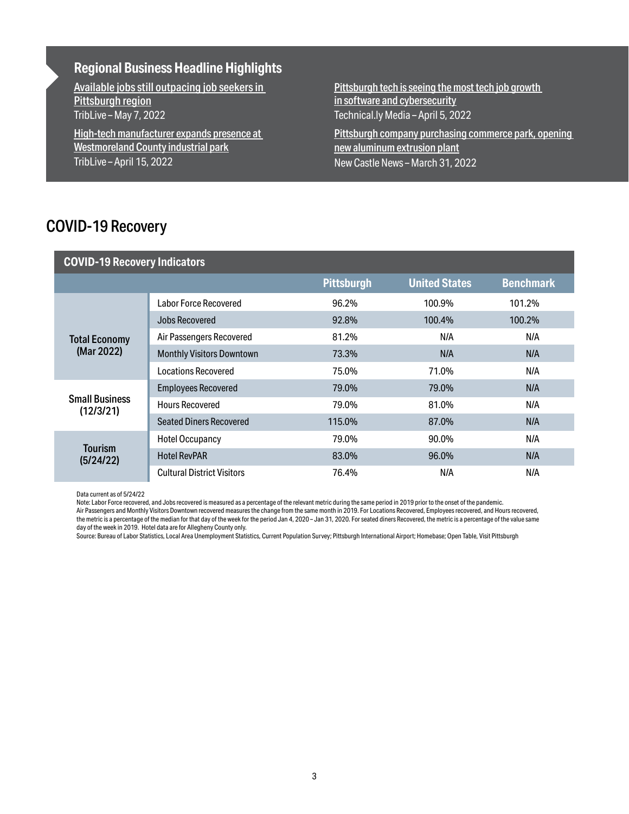#### **Regional Business Headline Highlights**

[Available jobs still outpacing job seekers in](https://triblive.com/local/regional/available-jobs-still-outpacing-job-seekers-in-pittsburgh-region/)  [Pittsburgh region](https://triblive.com/local/regional/available-jobs-still-outpacing-job-seekers-in-pittsburgh-region/) TribLive – May 7, 2022

[High-tech manufacturer expands presence at](https://triblive.com/local/westmoreland/high-tech-manufacturer-expands-presence-at-westmoreland-county-industrial-park/)  [Westmoreland County industrial park](https://triblive.com/local/westmoreland/high-tech-manufacturer-expands-presence-at-westmoreland-county-industrial-park/) TribLive – April 15, 2022

Pittsburgh tech is seeing the most tech job growth [in software and cybersecurity](https://technical.ly/software-development/pittsburgh-comptia-report-tech-jobs/) Technical.ly Media – April 5, 2022

[Pittsburgh company purchasing commerce park, opening](https://www.ncnewsonline.com/news/local_news/pittsburgh-company-purchasing-commerce-park-opening-new-aluminum-extrusion-plant/article_61dc30c0-b140-11ec-9d74-479880ac7839.html)  [new aluminum extrusion plant](https://www.ncnewsonline.com/news/local_news/pittsburgh-company-purchasing-commerce-park-opening-new-aluminum-extrusion-plant/article_61dc30c0-b140-11ec-9d74-479880ac7839.html) New Castle News– March 31, 2022

### COVID-19 Recovery

| <b>COVID-19 Recovery Indicators</b> |                                   |                   |                      |                  |  |
|-------------------------------------|-----------------------------------|-------------------|----------------------|------------------|--|
|                                     |                                   | <b>Pittsburgh</b> | <b>United States</b> | <b>Benchmark</b> |  |
| <b>Total Economy</b><br>(Mar 2022)  | <b>Labor Force Recovered</b>      | 96.2%             | 100.9%               | 101.2%           |  |
|                                     | Jobs Recovered                    | 92.8%             | 100.4%               | 100.2%           |  |
|                                     | Air Passengers Recovered          | 81.2%             | N/A                  | N/A              |  |
|                                     | <b>Monthly Visitors Downtown</b>  | 73.3%             | N/A                  | N/A              |  |
|                                     | <b>Locations Recovered</b>        | 75.0%             | 71.0%                | N/A              |  |
| <b>Small Business</b><br>(12/3/21)  | <b>Employees Recovered</b>        | 79.0%             | 79.0%                | N/A              |  |
|                                     | <b>Hours Recovered</b>            | 79.0%             | 81.0%                | N/A              |  |
|                                     | <b>Seated Diners Recovered</b>    | 115.0%            | 87.0%                | N/A              |  |
| <b>Tourism</b><br>(5/24/22)         | <b>Hotel Occupancy</b>            | 79.0%             | 90.0%                | N/A              |  |
|                                     | <b>Hotel RevPAR</b>               | 83.0%             | 96.0%                | N/A              |  |
|                                     | <b>Cultural District Visitors</b> | 76.4%             | N/A                  | N/A              |  |

Data current as of 5/24/22

Note: Labor Force recovered, and Jobs recovered is measured as a percentage of the relevant metric during the same period in 2019 prior to the onset of the pandemic.

Air Passengers and Monthly Visitors Downtown recovered measures the change from the same month in 2019. For Locations Recovered, Employees recovered, and Hours recovered, the metric is a percentage of the median for that day of the week for the period Jan 4, 2020 – Jan 31, 2020. For seated diners Recovered, the metric is a percentage of the value same day of the week in 2019. Hotel data are for Allegheny County only.

Source: Bureau of Labor Statistics, Local Area Unemployment Statistics, Current Population Survey; Pittsburgh International Airport; Homebase; Open Table, Visit Pittsburgh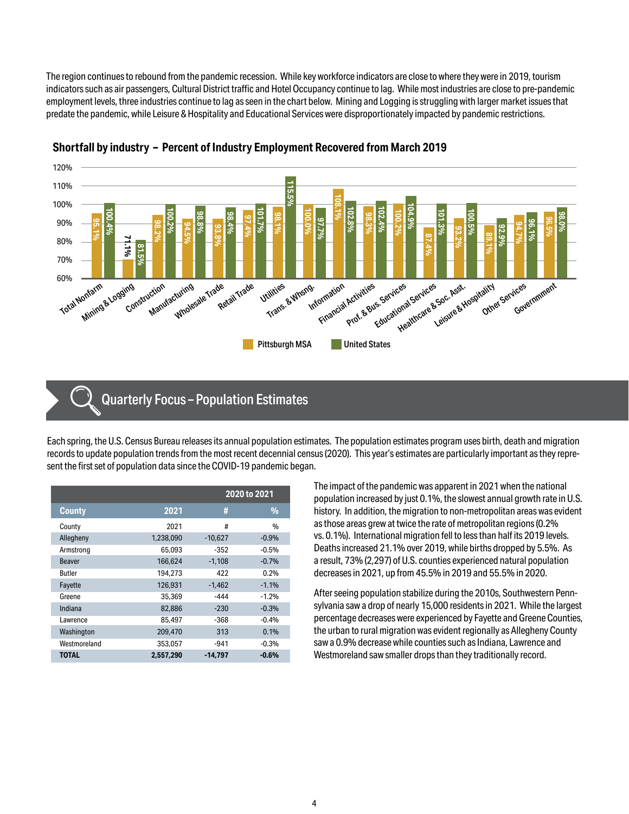The region continues to rebound from the pandemic recession. While key workforce indicators are close to where they were in 2019, tourism indicatorssuch as air passengers, Cultural District traffic and HotelOccupancy continue to lag. Whilemost industries are close to pre-pandemic employment levels, three industries continue to lag as seen in the chart below. Mining and Logging is struggling with larger market issues that predate the pandemic, while Leisure & Hospitality and Educational Services were disproportionately impacted by pandemic restrictions.





#### Quarterly Focus – Population Estimates

Each spring, the U.S. Census Bureau releases its annual population estimates. The population estimates program uses birth, death and migration records to update population trends from the most recent decennial census (2020). This year's estimates are particularly important as they represent the first set of population data since the COVID-19 pandemic began.

|               |           | 2020 to 2021 |               |  |
|---------------|-----------|--------------|---------------|--|
| <b>County</b> | 2021      | #            | $\frac{9}{6}$ |  |
| County        | 2021      | #            | $\frac{0}{0}$ |  |
| Allegheny     | 1,238,090 | $-10.627$    | $-0.9%$       |  |
| Armstrong     | 65.093    | $-352$       | $-0.5%$       |  |
| <b>Beaver</b> | 166.624   | $-1.108$     | $-0.7%$       |  |
| Butler        | 194.273   | 422          | 0.2%          |  |
| Fayette       | 126.931   | $-1.462$     | $-1.1%$       |  |
| Greene        | 35,369    | -444         | $-1.2%$       |  |
| Indiana       | 82,886    | $-230$       | $-0.3%$       |  |
| Lawrence      | 85.497    | -368         | $-0.4%$       |  |
| Washington    | 209,470   | 313          | 0.1%          |  |
| Westmoreland  | 353.057   | $-941$       | $-0.3%$       |  |
| <b>TOTAL</b>  | 2.557.290 | -14.797      | $-0.6%$       |  |

The impact of the pandemic was apparent in 2021 when the national population increased by just 0.1%, the slowest annual growth rate in U.S. history. In addition, the migration to non-metropolitan areas was evident as those areas grew at twice the rate of metropolitan regions (0.2% vs. 0.1%). International migration fell to less than half its 2019 levels. Deaths increased 21.1% over 2019, while births dropped by 5.5%. As a result, 73% (2,297) of U.S. counties experienced natural population decreases in 2021, up from 45.5% in 2019 and 55.5% in 2020.

After seeing population stabilize during the 2010s, Southwestern Pennsylvania saw a drop of nearly 15,000 residents in 2021. While the largest percentage decreases were experienced by Fayette and Greene Counties, the urban to rural migration was evident regionally as Allegheny County saw a 0.9% decrease while counties such as Indiana, Lawrence and Westmoreland saw smaller drops than they traditionally record.